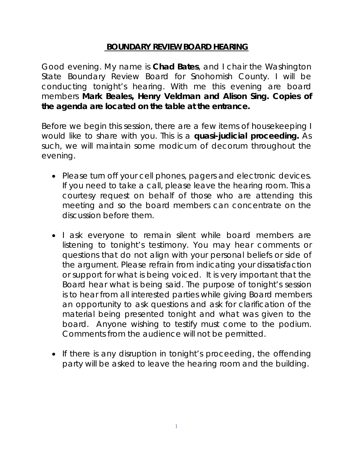### **BOUNDARY REVIEW BOARD HEARING**

Good evening. My name is **Chad Bates**, and I chair the Washington State Boundary Review Board for Snohomish County. I will be conducting tonight's hearing. With me this evening are board members **Mark Beales, Henry Veldman and Alison Sing. Copies of the agenda are located on the table at the entrance.**

Before we begin this session, there are a few items of housekeeping I would like to share with you. This is a **quasi-judicial proceeding.** As such, we will maintain some modicum of decorum throughout the evening.

- Please turn off your cell phones, pagers and electronic devices. If you need to take a call, please leave the hearing room. This a courtesy request on behalf of those who are attending this meeting and so the board members can concentrate on the discussion before them.
- I ask everyone to remain silent while board members are listening to tonight's testimony. You may hear comments or questions that do not align with your personal beliefs or side of the argument. Please refrain from indicating your dissatisfaction or support for what is being voiced. It is very important that the Board hear what is being said. The purpose of tonight's session is to hear from all interested parties while giving Board members an opportunity to ask questions and ask for clarification of the material being presented tonight and what was given to the board. Anyone wishing to testify must come to the podium. Comments from the audience will not be permitted.
- If there is any disruption in tonight's proceeding, the offending party will be asked to leave the hearing room and the building.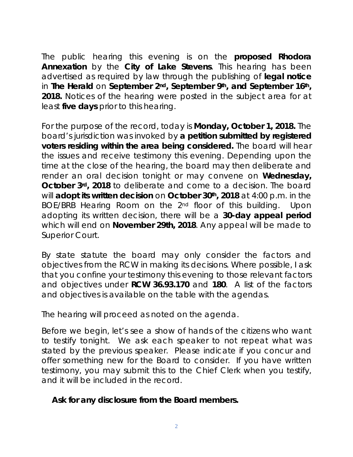The public hearing this evening is on the **proposed Rhodora Annexation** by the **City of Lake Stevens**. This hearing has been advertised as required by law through the publishing of **legal notice** in *The Herald* on **September 2nd, September 9th, and September 16th, 2018.** Notices of the hearing were posted in the subject area for at least **five days** prior to this hearing.

For the purpose of the record, today is **Monday, October 1, 2018.** The board's jurisdiction was invoked by **a petition submitted by registered voters residing within the area being considered.** The board will hear the issues and receive testimony this evening. Depending upon the time at the close of the hearing, the board may then deliberate and render an oral decision tonight or may convene on **Wednesday, October 3rd, 2018** to deliberate and come to a decision. The board will **adopt its written decision** on **October 30th, 2018** at 4:00 p.m. in the BOE/BRB Hearing Room on the 2nd floor of this building. Upon adopting its written decision, there will be a **30-day appeal period** which will end on **November 29th, 2018**. Any appeal will be made to Superior Court.

By state statute the board may only consider the factors and objectives from the RCW in making its decisions. Where possible, I ask that you confine your testimony this evening to those relevant factors and objectives under **RCW 36.93.170** and **180**. A list of the factors and objectives is available on the table with the agendas.

The hearing will proceed as noted on the agenda.

Before we begin, let's see a show of hands of the citizens who want to testify tonight. We ask each speaker to not repeat what was stated by the previous speaker. Please indicate if you concur and offer something new for the Board to consider. If you have written testimony, you may submit this to the Chief Clerk when you testify, and it will be included in the record.

## *Ask for any disclosure from the Board members.*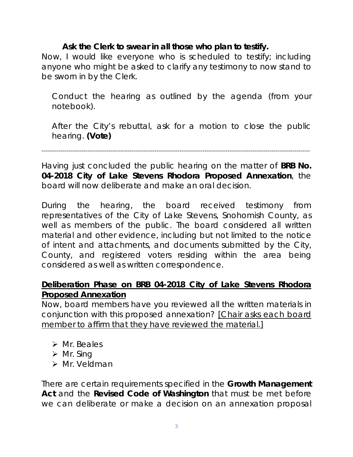## *Ask the Clerk to swear in all those who plan to testify.*

*Now, I would like everyone who is scheduled to testify; including anyone who might be asked to clarify any testimony to now stand to be sworn in by the Clerk.*

*Conduct the hearing as outlined by the agenda (from your notebook).*

*After the City's rebuttal, ask for a motion to close the public hearing. (Vote)* 

--------------------------------------------------------------------------------------------------------------------------------------------

Having just concluded the public hearing on the matter of **BRB No. 04-2018 City of Lake Stevens Rhodora Proposed Annexation**, the board will now deliberate and make an oral decision.

During the hearing, the board received testimony from representatives of the City of Lake Stevens, Snohomish County, as well as members of the public. The board considered all written material and other evidence, including but not limited to the notice of intent and attachments, and documents submitted by the City, County, and registered voters residing within the area being considered as well as written correspondence.

### **Deliberation Phase on BRB 04-2018 City of Lake Stevens Rhodora Proposed Annexation**

Now, board members have you reviewed all the written materials in conjunction with this proposed annexation? *[Chair asks each board member to affirm that they have reviewed the material.]*

- $\triangleright$  Mr. Beales
- $\triangleright$  Mr. Sing
- > Mr. Veldman

There are certain requirements specified in the **Growth Management Act** and the **Revised Code of Washington** that must be met before we can deliberate or make a decision on an annexation proposal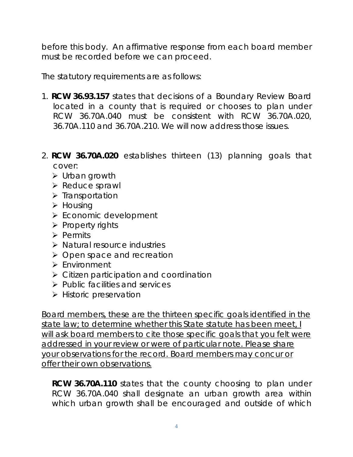before this body. An affirmative response from each board member must be recorded before we can proceed.

The statutory requirements are as follows:

- 1. **RCW 36.93.157** states that decisions of a Boundary Review Board located in a county that is required or chooses to plan under RCW 36.70A.040 must be consistent with RCW 36.70A.020, 36.70A.110 and 36.70A.210. We will now address those issues.
- 2. **RCW 36.70A.020** establishes thirteen (13) planning goals that cover:
	- Urban growth
	- $\triangleright$  Reduce sprawl
	- $\triangleright$  Transportation
	- $\triangleright$  Housing
	- ▶ Economic development
	- $\triangleright$  Property rights
	- $\triangleright$  Permits
	- Natural resource industries
	- $\triangleright$  Open space and recreation
	- $\triangleright$  Fnvironment
	- Citizen participation and coordination
	- $\triangleright$  Public facilities and services
	- $\triangleright$  Historic preservation

*Board members, these are the thirteen specific goals identified in the state law; to determine whether this State statute has been meet, I*  will ask board members to cite those specific goals that you felt were *addressed in your review or were of particular note. Please share your observations for the record. Board members may concur or offer their own observations.*

**RCW 36.70A.110** states that the county choosing to plan under RCW 36.70A.040 shall designate an urban growth area within which urban growth shall be encouraged and outside of which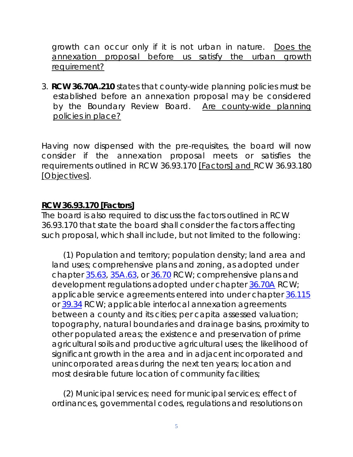growth can occur only if it is not urban in nature. *Does the annexation proposal before us satisfy the urban growth requirement?*

*3.* **RCW 36.70A.210** states that county-wide planning policies must be established before an annexation proposal may be considered by the Boundary Review Board. *Are county-wide planning policies in place?*

Having now dispensed with the pre-requisites, the board will now consider if the annexation proposal meets or satisfies the requirements outlined in RCW 36.93.170 *[Factors] and* RCW 36.93.180 *[Objectives].*

### **RCW 36.93.170 [Factors]**

The board is also required to discuss the factors outlined in RCW 36.93.170 that state the board shall consider the factors affecting such proposal, which shall include, but not limited to the following:

 (1) Population and territory; population density; land area and land uses; comprehensive plans and zoning, as adopted under chapter [35.63,](http://www.mrsc.org/mc/rcw/RCW%20%2035%20%20TITLE/RCW%20%2035%20.%2063%20%20CHAPTER/RCW%20%2035%20.%2063%20%20chapter.htm) [35A.63,](http://www.mrsc.org/mc/rcw/RCW%20%2035A%20TITLE/RCW%20%2035A.%2063%20%20CHAPTER/RCW%20%2035A.%2063%20%20Chapter.htm) or [36.70](http://www.mrsc.org/mc/rcw/RCW%20%2036%20%20TITLE/RCW%20%2036%20.%2070%20%20CHAPTER/RCW%20%2036%20.%2070%20%20chapter.htm) RCW; comprehensive plans and development regulations adopted under chapter [36.70A](http://www.mrsc.org/mc/rcw/RCW%20%2036%20%20TITLE/RCW%20%2036%20.%2070A%20CHAPTER/RCW%20%2036%20.%2070A%20chapter.htm) RCW; applicable service agreements entered into under chapter [36.115](http://www.mrsc.org/mc/rcw/RCW%20%2036%20%20TITLE/RCW%20%2036%20.115%20%20CHAPTER/RCW%20%2036%20.115%20%20chapter.htm) or [39.34](http://www.mrsc.org/mc/rcw/RCW%20%2039%20%20TITLE/RCW%20%2039%20.%2034%20%20CHAPTER/RCW%20%2039%20.%2034%20%20chapter.htm) RCW; applicable interlocal annexation agreements between a county and its cities; per capita assessed valuation; topography, natural boundaries and drainage basins, proximity to other populated areas; the existence and preservation of prime agricultural soils and productive agricultural uses; the likelihood of significant growth in the area and in adjacent incorporated and unincorporated areas during the next ten years; location and most desirable future location of community facilities;

 (2) Municipal services; need for municipal services; effect of ordinances, governmental codes, regulations and resolutions on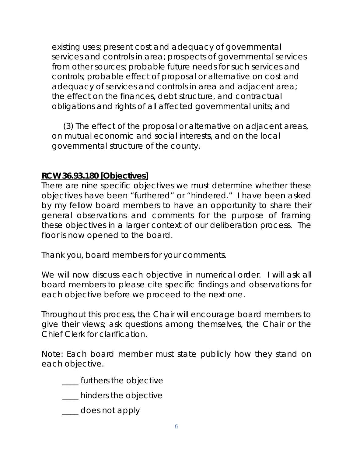existing uses; present cost and adequacy of governmental services and controls in area; prospects of governmental services from other sources; probable future needs for such services and controls; probable effect of proposal or alternative on cost and adequacy of services and controls in area and adjacent area; the effect on the finances, debt structure, and contractual obligations and rights of all affected governmental units; and

 (3) The effect of the proposal or alternative on adjacent areas, on mutual economic and social interests, and on the local governmental structure of the county.

#### **RCW 36.93.180 [Objectives]**

There are nine specific objectives we must determine whether these objectives have been "furthered" or "hindered." I have been asked by my fellow board members to have an opportunity to share their general observations and comments for the purpose of framing these objectives in a larger context of our deliberation process. The floor is now opened to the board.

Thank you, board members for your comments.

We will now discuss each objective in numerical order. I will ask all board members to please cite specific findings and observations for each objective before we proceed to the next one.

Throughout this process, the Chair will encourage board members to give their views; ask questions among themselves, the Chair or the Chief Clerk for clarification.

Note: Each board member must state publicly how they stand on each objective.

\_\_\_\_ furthers the objective

\_\_\_\_ hinders the objective

\_\_\_\_ does not apply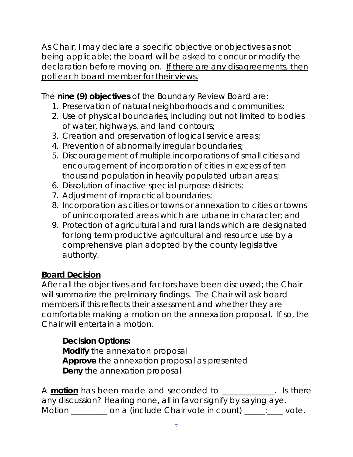As Chair, I may declare a specific objective or objectives as not being applicable; the board will be asked to concur or modify the declaration before moving on. *If there are any disagreements, then poll each board member for their views.*

The **nine (9) objectives** of the Boundary Review Board are:

- 1. Preservation of natural neighborhoods and communities;
- 2. Use of physical boundaries, including but not limited to bodies of water, highways, and land contours;
- 3. Creation and preservation of logical service areas;
- 4. Prevention of abnormally irregular boundaries;
- 5. Discouragement of multiple incorporations of small cities and encouragement of incorporation of cities in excess of ten thousand population in heavily populated urban areas;
- 6. Dissolution of inactive special purpose districts;
- 7. Adjustment of impractical boundaries;
- 8. Incorporation as cities or towns or annexation to cities or towns of unincorporated areas which are urbane in character; and
- 9. Protection of agricultural and rural lands which are designated for long term productive agricultural and resource use by a comprehensive plan adopted by the county legislative authority.

# **Board Decision**

After all the objectives and factors have been discussed; the Chair will summarize the preliminary findings. The Chair will ask board members if this reflects their assessment and whether they are comfortable making a motion on the annexation proposal. If so, the Chair will entertain a motion.

# **Decision Options:**

**Modify** the annexation proposal **Approve** the annexation proposal as presented **Deny** the annexation proposal

A **motion** has been made and seconded to \_\_\_\_\_\_\_\_\_\_\_\_\_. Is there any discussion? Hearing none, all in favor signify by saying aye. Motion \_\_\_\_\_\_\_\_ on a (include Chair vote in count) \_\_\_\_\_: \_\_\_ vote.